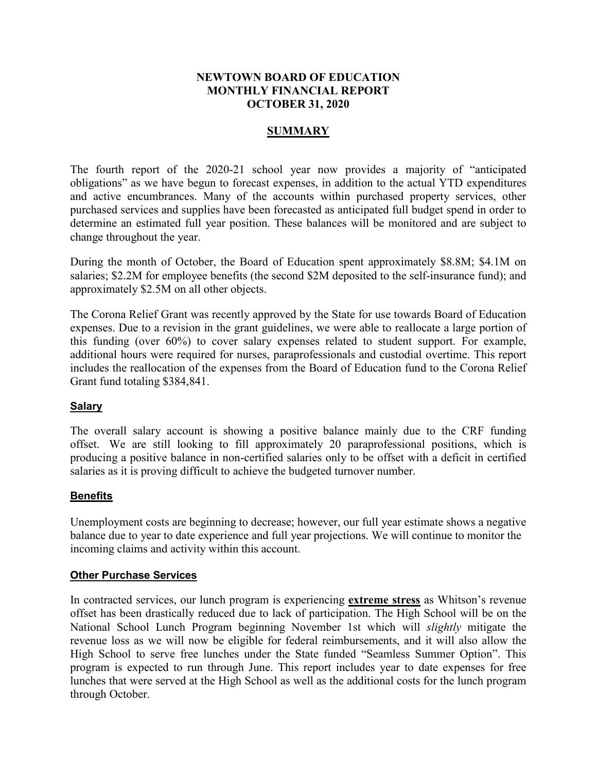# **NEWTOWN BOARD OF EDUCATION MONTHLY FINANCIAL REPORT OCTOBER 31, 2020**

### **SUMMARY**

The fourth report of the 2020-21 school year now provides a majority of "anticipated obligations" as we have begun to forecast expenses, in addition to the actual YTD expenditures and active encumbrances. Many of the accounts within purchased property services, other purchased services and supplies have been forecasted as anticipated full budget spend in order to determine an estimated full year position. These balances will be monitored and are subject to change throughout the year.

During the month of October, the Board of Education spent approximately \$8.8M; \$4.1M on salaries; \$2.2M for employee benefits (the second \$2M deposited to the self-insurance fund); and approximately \$2.5M on all other objects.

The Corona Relief Grant was recently approved by the State for use towards Board of Education expenses. Due to a revision in the grant guidelines, we were able to reallocate a large portion of this funding (over 60%) to cover salary expenses related to student support. For example, additional hours were required for nurses, paraprofessionals and custodial overtime. This report includes the reallocation of the expenses from the Board of Education fund to the Corona Relief Grant fund totaling \$384,841.

### **Salary**

The overall salary account is showing a positive balance mainly due to the CRF funding offset. We are still looking to fill approximately 20 paraprofessional positions, which is producing a positive balance in non-certified salaries only to be offset with a deficit in certified salaries as it is proving difficult to achieve the budgeted turnover number.

### **Benefits**

Unemployment costs are beginning to decrease; however, our full year estimate shows a negative balance due to year to date experience and full year projections. We will continue to monitor the incoming claims and activity within this account.

### **Other Purchase Services**

In contracted services, our lunch program is experiencing **extreme stress** as Whitson's revenue offset has been drastically reduced due to lack of participation. The High School will be on the National School Lunch Program beginning November 1st which will *slightly* mitigate the revenue loss as we will now be eligible for federal reimbursements, and it will also allow the High School to serve free lunches under the State funded "Seamless Summer Option". This program is expected to run through June. This report includes year to date expenses for free lunches that were served at the High School as well as the additional costs for the lunch program through October.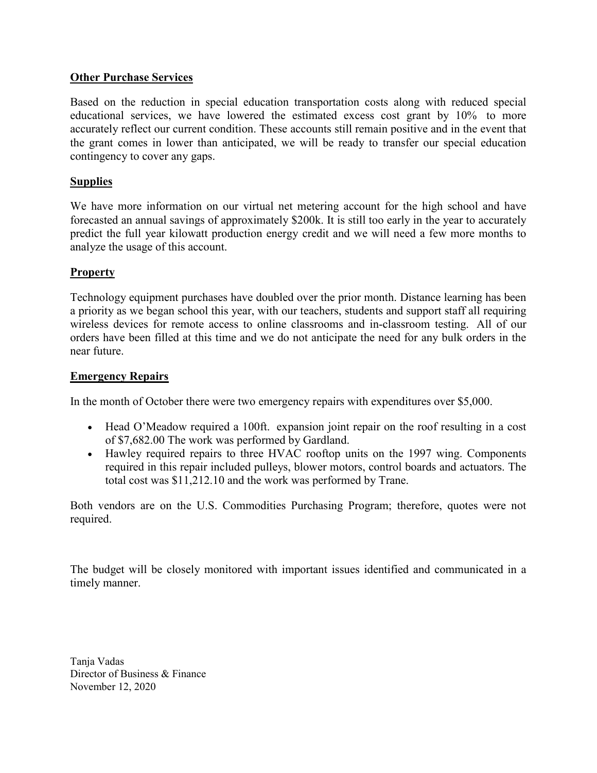# **Other Purchase Services**

Based on the reduction in special education transportation costs along with reduced special educational services, we have lowered the estimated excess cost grant by 10% to more accurately reflect our current condition. These accounts still remain positive and in the event that the grant comes in lower than anticipated, we will be ready to transfer our special education contingency to cover any gaps.

# **Supplies**

We have more information on our virtual net metering account for the high school and have forecasted an annual savings of approximately \$200k. It is still too early in the year to accurately predict the full year kilowatt production energy credit and we will need a few more months to analyze the usage of this account.

# **Property**

Technology equipment purchases have doubled over the prior month. Distance learning has been a priority as we began school this year, with our teachers, students and support staff all requiring wireless devices for remote access to online classrooms and in-classroom testing. All of our orders have been filled at this time and we do not anticipate the need for any bulk orders in the near future.

### **Emergency Repairs**

In the month of October there were two emergency repairs with expenditures over \$5,000.

- Head O'Meadow required a 100ft. expansion joint repair on the roof resulting in a cost of \$7,682.00 The work was performed by Gardland.
- Hawley required repairs to three HVAC rooftop units on the 1997 wing. Components required in this repair included pulleys, blower motors, control boards and actuators. The total cost was \$11,212.10 and the work was performed by Trane.

Both vendors are on the U.S. Commodities Purchasing Program; therefore, quotes were not required.

The budget will be closely monitored with important issues identified and communicated in a timely manner.

Tanja Vadas Director of Business & Finance November 12, 2020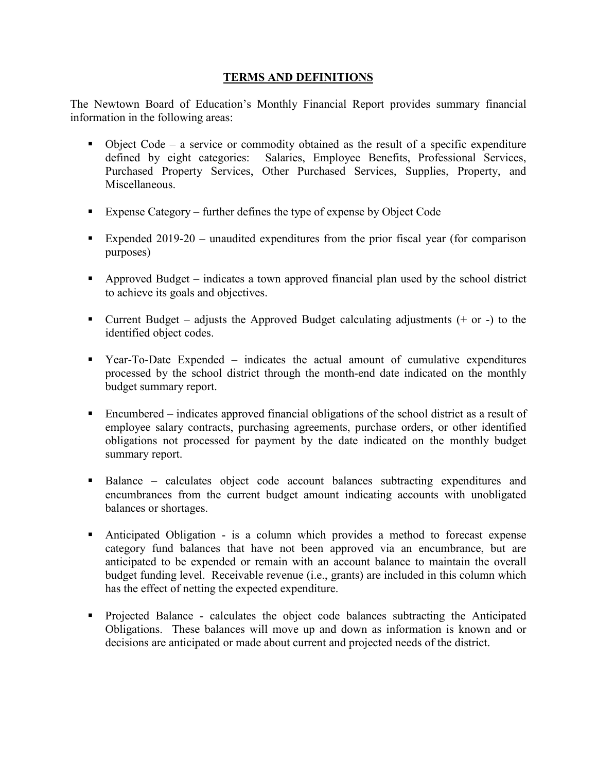# **TERMS AND DEFINITIONS**

The Newtown Board of Education's Monthly Financial Report provides summary financial information in the following areas:

- $\bullet$  Object Code a service or commodity obtained as the result of a specific expenditure defined by eight categories: Salaries, Employee Benefits, Professional Services, Purchased Property Services, Other Purchased Services, Supplies, Property, and Miscellaneous.
- Expense Category further defines the type of expense by Object Code
- Expended 2019-20 unaudited expenditures from the prior fiscal year (for comparison purposes)
- Approved Budget indicates a town approved financial plan used by the school district to achieve its goals and objectives.
- **Current Budget** adjusts the Approved Budget calculating adjustments  $(+)$  or  $-)$  to the identified object codes.
- Year-To-Date Expended indicates the actual amount of cumulative expenditures processed by the school district through the month-end date indicated on the monthly budget summary report.
- Encumbered indicates approved financial obligations of the school district as a result of employee salary contracts, purchasing agreements, purchase orders, or other identified obligations not processed for payment by the date indicated on the monthly budget summary report.
- Balance calculates object code account balances subtracting expenditures and encumbrances from the current budget amount indicating accounts with unobligated balances or shortages.
- Anticipated Obligation is a column which provides a method to forecast expense category fund balances that have not been approved via an encumbrance, but are anticipated to be expended or remain with an account balance to maintain the overall budget funding level. Receivable revenue (i.e., grants) are included in this column which has the effect of netting the expected expenditure.
- Projected Balance calculates the object code balances subtracting the Anticipated Obligations. These balances will move up and down as information is known and or decisions are anticipated or made about current and projected needs of the district.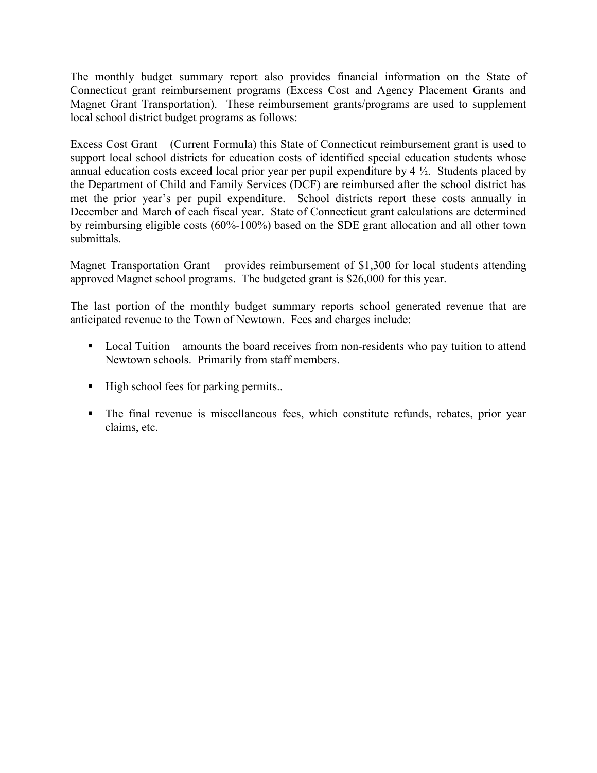The monthly budget summary report also provides financial information on the State of Connecticut grant reimbursement programs (Excess Cost and Agency Placement Grants and Magnet Grant Transportation). These reimbursement grants/programs are used to supplement local school district budget programs as follows:

Excess Cost Grant – (Current Formula) this State of Connecticut reimbursement grant is used to support local school districts for education costs of identified special education students whose annual education costs exceed local prior year per pupil expenditure by  $4\frac{1}{2}$ . Students placed by the Department of Child and Family Services (DCF) are reimbursed after the school district has met the prior year's per pupil expenditure. School districts report these costs annually in December and March of each fiscal year. State of Connecticut grant calculations are determined by reimbursing eligible costs (60%-100%) based on the SDE grant allocation and all other town submittals.

Magnet Transportation Grant – provides reimbursement of \$1,300 for local students attending approved Magnet school programs. The budgeted grant is \$26,000 for this year.

The last portion of the monthly budget summary reports school generated revenue that are anticipated revenue to the Town of Newtown. Fees and charges include:

- Local Tuition amounts the board receives from non-residents who pay tuition to attend Newtown schools. Primarily from staff members.
- High school fees for parking permits..
- The final revenue is miscellaneous fees, which constitute refunds, rebates, prior year claims, etc.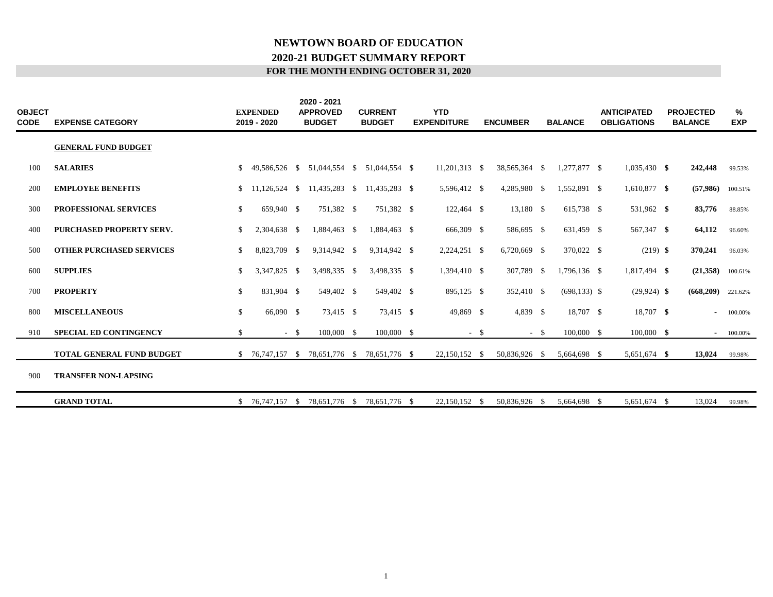# **NEWTOWN BOARD OF EDUCATION 2020-21 BUDGET SUMMARY REPORT FOR THE MONTH ENDING OCTOBER 31, 2020**

| <b>OBJECT</b><br>CODE | <b>EXPENSE CATEGORY</b>         |              | <b>EXPENDED</b><br>2019 - 2020 |        | 2020 - 2021<br><b>APPROVED</b><br><b>BUDGET</b> | <b>CURRENT</b><br><b>BUDGET</b> | <b>YTD</b><br><b>EXPENDITURE</b> |        | <b>ENCUMBER</b> |        | <b>BALANCE</b>  | <b>ANTICIPATED</b><br><b>OBLIGATIONS</b> | <b>PROJECTED</b><br><b>BALANCE</b> | %<br><b>EXP</b> |
|-----------------------|---------------------------------|--------------|--------------------------------|--------|-------------------------------------------------|---------------------------------|----------------------------------|--------|-----------------|--------|-----------------|------------------------------------------|------------------------------------|-----------------|
|                       | <b>GENERAL FUND BUDGET</b>      |              |                                |        |                                                 |                                 |                                  |        |                 |        |                 |                                          |                                    |                 |
| 100                   | <b>SALARIES</b>                 | \$           | 49,586,526 \$                  |        | 51,044,554 \$                                   | 51,044,554 \$                   | $11,201,313$ \$                  |        | 38,565,364 \$   |        | 1,277,877 \$    | $1,035,430$ \$                           | 242,448                            | 99.53%          |
| 200                   | <b>EMPLOYEE BENEFITS</b>        | \$           | 11,126,524 \$                  |        | 11,435,283 \$                                   | 11.435.283 \$                   | 5,596,412 \$                     |        | 4,285,980 \$    |        | 1,552,891 \$    | 1,610,877 \$                             | (57,986)                           | 100.51%         |
| 300                   | PROFESSIONAL SERVICES           | $\mathbb{S}$ | 659,940 \$                     |        | 751,382 \$                                      | 751,382 \$                      | 122,464 \$                       |        | 13,180 \$       |        | 615,738 \$      | 531,962 \$                               | 83,776                             | 88.85%          |
| 400                   | PURCHASED PROPERTY SERV.        | \$           | 2,304,638 \$                   |        | 1,884,463 \$                                    | 1.884.463 \$                    | 666,309 \$                       |        | 586,695 \$      |        | 631,459 \$      | 567,347 \$                               | 64,112                             | 96.60%          |
| 500                   | <b>OTHER PURCHASED SERVICES</b> | \$           | 8,823,709 \$                   |        | 9,314,942 \$                                    | 9,314,942 \$                    | $2,224,251$ \$                   |        | 6,720,669 \$    |        | 370,022 \$      | $(219)$ \$                               | 370,241                            | 96.03%          |
| 600                   | <b>SUPPLIES</b>                 | \$           | 3,347,825 \$                   |        | 3,498,335 \$                                    | 3,498,335 \$                    | 1,394,410 \$                     |        | 307,789 \$      |        | 1,796,136 \$    | 1,817,494 \$                             | (21,358)                           | 100.61%         |
| 700                   | <b>PROPERTY</b>                 | \$           | 831,904 \$                     |        | 549,402 \$                                      | 549,402 \$                      | 895,125 \$                       |        | 352,410 \$      |        | $(698, 133)$ \$ | $(29, 924)$ \$                           | (668, 209)                         | 221.62%         |
| 800                   | <b>MISCELLANEOUS</b>            | \$           | 66,090 \$                      |        | 73,415 \$                                       | 73,415 \$                       | 49,869 \$                        |        | 4,839 \$        |        | 18,707 \$       | 18,707 \$                                | $\sim$                             | 100.00%         |
| 910                   | <b>SPECIAL ED CONTINGENCY</b>   | \$           |                                | $-$ \$ | 100,000 \$                                      | 100,000 \$                      |                                  | $-$ \$ |                 | $-$ \$ | 100,000 \$      | $100,000$ \$                             | $\sim$                             | 100.00%         |
|                       | TOTAL GENERAL FUND BUDGET       |              | $$76,747,157$ \$               |        | 78,651,776 \$                                   | 78,651,776 \$                   | 22,150,152 \$                    |        | 50,836,926 \$   |        | 5,664,698 \$    | 5,651,674 \$                             | 13,024                             | 99.98%          |
| 900                   | <b>TRANSFER NON-LAPSING</b>     |              |                                |        |                                                 |                                 |                                  |        |                 |        |                 |                                          |                                    |                 |
|                       | <b>GRAND TOTAL</b>              |              | $$76,747,157$ \;               |        | 78.651.776 \$                                   | 78.651.776 \$                   | 22.150.152 \$                    |        | 50,836,926 \$   |        | 5,664,698 \$    | 5,651,674 \$                             | 13,024                             | 99.98%          |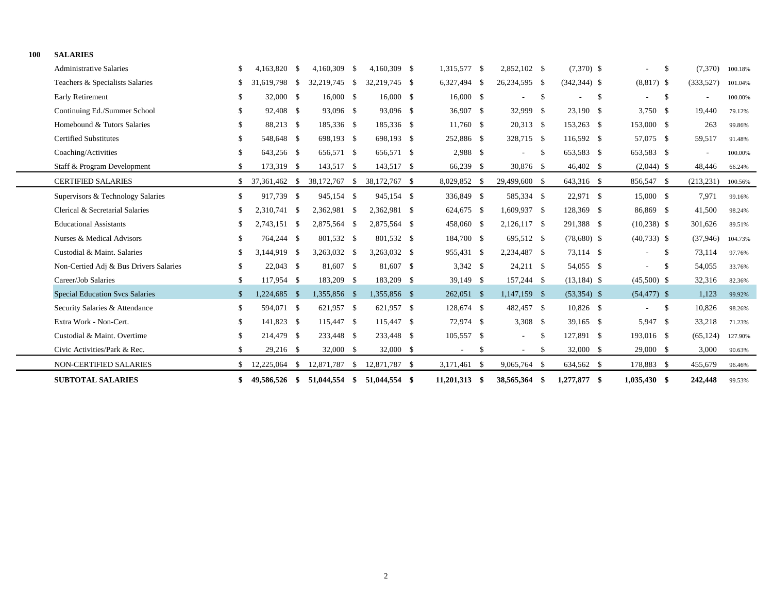| 100 | <b>SALARIES</b>                        |              |               |      |               |      |               |                 |    |                |               |                 |    |                          |                                |         |  |
|-----|----------------------------------------|--------------|---------------|------|---------------|------|---------------|-----------------|----|----------------|---------------|-----------------|----|--------------------------|--------------------------------|---------|--|
|     | <b>Administrative Salaries</b>         | S            | 4,163,820 \$  |      | 4,160,309     | - \$ | 4,160,309 \$  | 1,315,577 \$    |    | 2,852,102 \$   |               | $(7,370)$ \$    |    |                          | \$<br>(7,370)                  | 100.18% |  |
|     | Teachers & Specialists Salaries        | S.           | 31,619,798    | - \$ | 32,219,745    | - \$ | 32.219.745 \$ | 6,327,494 \$    |    | 26,234,595 \$  |               | $(342, 344)$ \$ |    | $(8,817)$ \$             | (333,527)                      | 101.04% |  |
|     | <b>Early Retirement</b>                | \$           | 32,000 \$     |      | 16,000 \$     |      | $16,000$ \$   | 16,000 \$       |    | $\sim$         | -\$           |                 | -S |                          | \$<br>$\overline{\phantom{0}}$ | 100.00% |  |
|     | Continuing Ed./Summer School           | \$           | 92,408 \$     |      | 93,096 \$     |      | 93,096 \$     | 36,907 \$       |    | 32,999 \$      |               | 23,190 \$       |    | 3,750 \$                 | 19.440                         | 79.12%  |  |
|     | Homebound & Tutors Salaries            | \$           | 88,213 \$     |      | 185,336 \$    |      | 185,336 \$    | 11,760 \$       |    | 20,313 \$      |               | 153,263 \$      |    | 153,000 \$               | 263                            | 99.86%  |  |
|     | <b>Certified Substitutes</b>           |              | 548,648 \$    |      | 698,193 \$    |      | 698,193 \$    | 252,886 \$      |    | 328,715 \$     |               | 116,592 \$      |    | 57,075 \$                | 59,517                         | 91.48%  |  |
|     | Coaching/Activities                    |              | 643,256 \$    |      | 656,571 \$    |      | 656,571 \$    | 2,988 \$        |    | $\sim$         | \$            | 653,583 \$      |    | 653,583 \$               |                                | 100.00% |  |
|     | Staff & Program Development            | S            | 173,319 \$    |      | 143,517 \$    |      | 143,517 \$    | 66,239 \$       |    | 30,876 \$      |               | 46,402 \$       |    | $(2,044)$ \$             | 48,446                         | 66.24%  |  |
|     | <b>CERTIFIED SALARIES</b>              |              | 37,361,462 \$ |      | 38,172,767 \$ |      | 38,172,767 \$ | 8,029,852 \$    |    | 29,499,600 \$  |               | 643,316 \$      |    | 856,547 \$               | (213, 231)                     | 100.56% |  |
|     | Supervisors & Technology Salaries      | \$           | 917,739 \$    |      | 945,154 \$    |      | 945,154 \$    | 336,849 \$      |    | 585,334 \$     |               | 22,971 \$       |    | 15,000 \$                | 7,971                          | 99.16%  |  |
|     | Clerical & Secretarial Salaries        |              | 2,310,741 \$  |      | 2,362,981 \$  |      | 2,362,981 \$  | 624,675 \$      |    | 1,609,937 \$   |               | 128,369 \$      |    | 86,869 \$                | 41,500                         | 98.24%  |  |
|     | <b>Educational Assistants</b>          |              | 2,743,151 \$  |      | 2,875,564 \$  |      | 2,875,564 \$  | 458,060 \$      |    | 2,126,117 \$   |               | 291,388 \$      |    | $(10,238)$ \$            | 301,626                        | 89.51%  |  |
|     | Nurses & Medical Advisors              | -S           | 764,244 \$    |      | 801,532 \$    |      | 801,532 \$    | 184,700 \$      |    | 695,512 \$     |               | $(78,680)$ \$   |    | $(40,733)$ \$            | (37, 946)                      | 104.73% |  |
|     | Custodial & Maint, Salaries            |              | 3.144.919 \$  |      | 3,263,032 \$  |      | 3,263,032 \$  | 955,431 \$      |    | 2,234,487 \$   |               | 73,114 \$       |    | $\overline{\phantom{a}}$ | \$<br>73,114                   | 97.76%  |  |
|     | Non-Certied Adj & Bus Drivers Salaries | \$           | $22,043$ \$   |      | 81,607 \$     |      | 81,607 \$     | $3,342$ \$      |    | 24,211 \$      |               | 54,055 \$       |    |                          | \$<br>54,055                   | 33.76%  |  |
|     | Career/Job Salaries                    | S            | 117,954 \$    |      | 183,209 \$    |      | 183,209 \$    | 39,149 \$       |    | 157,244 \$     |               | $(13, 184)$ \$  |    | $(45,500)$ \$            | 32,316                         | 82.36%  |  |
|     | <b>Special Education Svcs Salaries</b> | $\mathbb{S}$ | 1,224,685 \$  |      | 1,355,856 \$  |      | 1,355,856 \$  | $262,051$ \$    |    | $1,147,159$ \$ |               | $(53,354)$ \$   |    | $(54, 477)$ \$           | 1,123                          | 99.92%  |  |
|     | Security Salaries & Attendance         | \$           | 594,071 \$    |      | 621,957 \$    |      | 621,957 \$    | 128,674 \$      |    | 482,457 \$     |               | 10,826 \$       |    |                          | \$<br>10,826                   | 98.26%  |  |
|     | Extra Work - Non-Cert.                 | \$           | 141,823 \$    |      | 115,447 \$    |      | 115,447 \$    | 72,974 \$       |    | $3,308$ \$     |               | $39,165$ \$     |    | 5,947 \$                 | 33,218                         | 71.23%  |  |
|     | Custodial & Maint. Overtime            |              | 214,479 \$    |      | 233,448 \$    |      | 233,448 \$    | 105,557 \$      |    |                | \$            | 127,891 \$      |    | 193,016 \$               | (65, 124)                      | 127.90% |  |
|     | Civic Activities/Park & Rec.           |              | $29,216$ \$   |      | 32,000 \$     |      | 32,000 \$     |                 | -S |                | <sup>\$</sup> | 32,000 \$       |    | 29,000 \$                | 3,000                          | 90.63%  |  |
|     | NON-CERTIFIED SALARIES                 |              | 12,225,064    | \$   | 12,871,787    | - \$ | 12,871,787 \$ | 3,171,461 \$    |    | 9,065,764 \$   |               | 634,562 \$      |    | 178,883 \$               | 455,679                        | 96.46%  |  |
|     | <b>SUBTOTAL SALARIES</b>               |              | 49,586,526 \$ |      | 51,044,554    | -SS  | 51,044,554 \$ | $11,201,313$ \$ |    | 38,565,364 \$  |               | 1,277,877 \$    |    | $1,035,430$ \$           | 242,448                        | 99.53%  |  |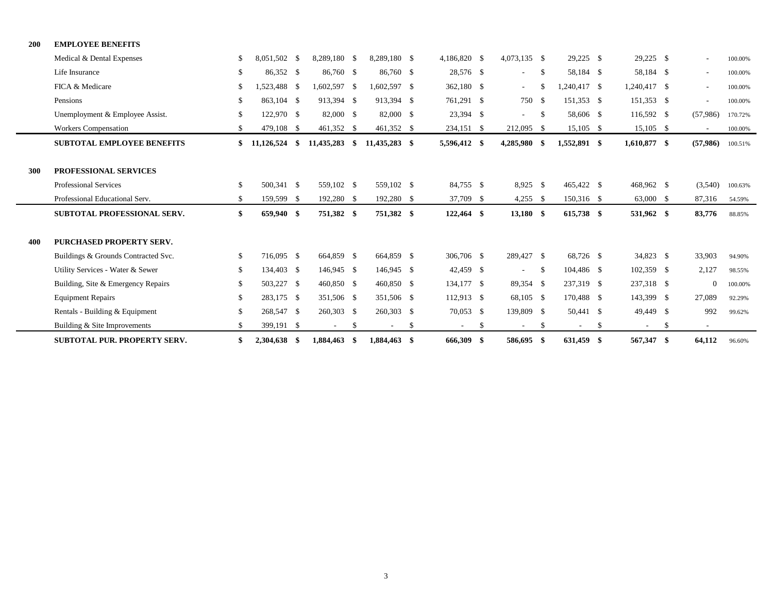| 200 | <b>EMPLOYEE BENEFITS</b>            |     |                 |                          |      |                          |    |              |    |              |      |              |    |              |    |                          |         |
|-----|-------------------------------------|-----|-----------------|--------------------------|------|--------------------------|----|--------------|----|--------------|------|--------------|----|--------------|----|--------------------------|---------|
|     | Medical & Dental Expenses           | \$  | 8,051,502 \$    | 8,289,180 \$             |      | 8,289,180 \$             |    | 4,186,820 \$ |    | 4,073,135 \$ |      | $29,225$ \$  |    | $29,225$ \$  |    | $\tilde{\phantom{a}}$    | 100.00% |
|     | Life Insurance                      | \$  | 86,352 \$       | 86,760 \$                |      | 86,760 \$                |    | 28,576 \$    |    | $\sim$       | - \$ | 58,184 \$    |    | 58,184 \$    |    | $\overline{\phantom{a}}$ | 100.00% |
|     | FICA & Medicare                     | \$  | 1.523.488 \$    | 1,602,597 \$             |      | 1,602,597 \$             |    | 362,180 \$   |    | $\sim 100$   | S.   | 1.240.417 \$ |    | 1,240,417 \$ |    | ٠                        | 100.00% |
|     | Pensions                            | \$  | 863,104 \$      | 913,394 \$               |      | 913,394 \$               |    | 761,291 \$   |    | 750 \$       |      | 151,353 \$   |    | 151,353 \$   |    | $\overline{\phantom{a}}$ | 100.00% |
|     | Unemployment & Employee Assist.     | \$  | 122,970 \$      | 82,000 \$                |      | 82,000 \$                |    | 23,394 \$    |    | $\sim 100$   | -\$  | 58,606 \$    |    | 116,592 \$   |    | (57,986)                 | 170.72% |
|     | <b>Workers Compensation</b>         |     | 479,108 \$      | 461,352 \$               |      | 461,352 \$               |    | 234,151 \$   |    | 212,095 \$   |      | 15,105 \$    |    | $15,105$ \$  |    | $\overline{\phantom{a}}$ | 100.00% |
|     | <b>SUBTOTAL EMPLOYEE BENEFITS</b>   | \$  | $11,126,524$ \$ | 11,435,283               | -\$  | 11,435,283 \$            |    | 5,596,412 \$ |    | 4,285,980 \$ |      | 1,552,891 \$ |    | 1,610,877 \$ |    | (57,986)                 | 100.51% |
|     |                                     |     |                 |                          |      |                          |    |              |    |              |      |              |    |              |    |                          |         |
| 300 | PROFESSIONAL SERVICES               |     |                 |                          |      |                          |    |              |    |              |      |              |    |              |    |                          |         |
|     | <b>Professional Services</b>        | \$  | 500.341 \$      | 559,102 \$               |      | 559,102 \$               |    | 84,755 \$    |    | $8,925$ \$   |      | 465,422 \$   |    | 468,962 \$   |    | (3,540)                  | 100.63% |
|     | Professional Educational Serv.      |     | 159,599 \$      | 192,280 \$               |      | 192,280 \$               |    | 37,709 \$    |    | $4,255$ \$   |      | 150,316 \$   |    | 63,000 \$    |    | 87,316                   | 54.59%  |
|     | <b>SUBTOTAL PROFESSIONAL SERV.</b>  | \$  | 659,940 \$      | 751,382 \$               |      | 751,382 \$               |    | 122,464 \$   |    | 13,180 \$    |      | 615,738 \$   |    | 531,962 \$   |    | 83,776                   | 88.85%  |
| 400 | <b>PURCHASED PROPERTY SERV.</b>     |     |                 |                          |      |                          |    |              |    |              |      |              |    |              |    |                          |         |
|     | Buildings & Grounds Contracted Svc. | \$  | 716,095 \$      | 664,859 \$               |      | 664,859 \$               |    | 306,706 \$   |    | 289,427 \$   |      | 68,726 \$    |    | 34,823 \$    |    | 33,903                   | 94.90%  |
|     | Utility Services - Water & Sewer    | \$. | 134,403 \$      | 146,945 \$               |      | 146,945 \$               |    | 42,459 \$    |    | $\sim$       | -\$  | 104,486 \$   |    | 102,359 \$   |    | 2,127                    | 98.55%  |
|     | Building, Site & Emergency Repairs  | \$  | 503,227 \$      | 460,850 \$               |      | 460,850 \$               |    | 134,177 \$   |    | 89,354 \$    |      | 237,319 \$   |    | 237,318 \$   |    | $\overline{0}$           | 100.00% |
|     | <b>Equipment Repairs</b>            | \$. | 283,175 \$      | 351,506 \$               |      | 351,506 \$               |    | $112,913$ \$ |    | 68,105 \$    |      | 170,488 \$   |    | 143,399 \$   |    | 27,089                   | 92.29%  |
|     | Rentals - Building & Equipment      | \$  | 268,547 \$      | 260,303 \$               |      | 260,303 \$               |    | 70,053 \$    |    | 139,809 \$   |      | 50,441 \$    |    | 49,449 \$    |    | 992                      | 99.62%  |
|     | Building & Site Improvements        | \$. | 399,191 \$      | $\overline{\phantom{a}}$ | -S   | $\overline{\phantom{a}}$ | -S | $\sim$       | S. | $\sim$       | - \$ | $\sim$       | -S | $\sim$       | -S |                          |         |
|     | <b>SUBTOTAL PUR. PROPERTY SERV.</b> |     | 2.304.638 \$    | 1.884.463                | - \$ | 1,884,463 \$             |    | 666.309 \$   |    | 586,695 \$   |      | 631,459 \$   |    | 567,347 \$   |    | 64,112                   | 96.60%  |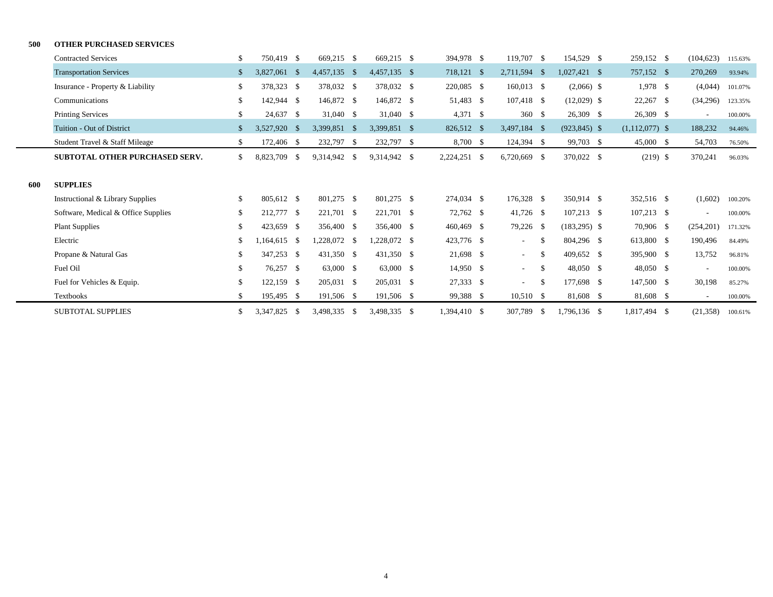#### **500 OTHER PURCHASED SERVICES**

|     | <b>Contracted Services</b>          | -\$ | 750.419 \$     | 669,215 \$   | 669,215 \$   | 394,978 \$   | 119,707 \$      | 154,529 \$       | 259,152 \$       | (104, 623) | 115.63% |
|-----|-------------------------------------|-----|----------------|--------------|--------------|--------------|-----------------|------------------|------------------|------------|---------|
|     | Transportation Services             |     | 3,827,061 \$   | 4,457,135 \$ | 4,457,135 \$ | 718,121 \$   | $2,711,594$ \$  | $1,027,421$ \$   | 757,152 \$       | 270,269    | 93.94%  |
|     | Insurance - Property & Liability    | \$  | 378,323 \$     | 378,032 \$   | 378,032 \$   | 220,085 \$   | $160,013$ \$    | $(2,066)$ \$     | $1,978$ \$       | (4,044)    | 101.07% |
|     | Communications                      | \$  | 142,944 \$     | 146,872 \$   | 146,872 \$   | 51,483 \$    | $107,418$ \$    | $(12,029)$ \$    | $22,267$ \$      | (34,296)   | 123.35% |
|     | <b>Printing Services</b>            | \$  | 24,637 \$      | $31,040$ \$  | 31,040 \$    | $4,371$ \$   | 360S            | 26,309 \$        | $26,309$ \$      | $\sim$     | 100.00% |
|     | Tuition - Out of District           |     | 3.527.920 \$   | 3.399.851 \$ | 3,399,851 \$ | 826,512 \$   | $3,497,184$ \$  | $(923, 845)$ \$  | $(1,112,077)$ \$ | 188,232    | 94.46%  |
|     | Student Travel & Staff Mileage      | \$. | 172,406 \$     | 232,797 \$   | 232,797 \$   | 8,700 \$     | $124,394$ \$    | 99,703 \$        | $45,000$ \$      | 54,703     | 76.50%  |
|     | SUBTOTAL OTHER PURCHASED SERV.      | \$  | 8,823,709 \$   | 9,314,942 \$ | 9,314,942 \$ | 2,224,251 \$ | 6,720,669 \$    | 370,022 \$       | $(219)$ \$       | 370,241    | 96.03%  |
|     |                                     |     |                |              |              |              |                 |                  |                  |            |         |
| 600 | <b>SUPPLIES</b>                     |     |                |              |              |              |                 |                  |                  |            |         |
|     | Instructional & Library Supplies    | \$  | 805.612 \$     | 801,275 \$   | 801,275 \$   | 274,034 \$   | 176,328 \$      | 350,914 \$       | 352,516 \$       | (1,602)    | 100.20% |
|     | Software, Medical & Office Supplies | \$  | 212,777 \$     | 221,701 \$   | 221,701 \$   | 72,762 \$    | $41,726$ \$     | $107,213$ \$     | $107,213$ \$     | $\sim$     | 100.00% |
|     | <b>Plant Supplies</b>               | \$  | 423.659 \$     | 356,400 \$   | 356,400 \$   | $460,469$ \$ | 79,226 \$       | $(183,295)$ \$   | 70,906 \$        | (254, 201) | 171.32% |
|     | Electric                            | \$  | $1.164.615$ \$ | 1,228,072 \$ | 1,228,072 \$ | 423,776 \$   | $\sim$          | \$<br>804,296 \$ | 613,800 \$       | 190,496    | 84.49%  |
|     | Propane & Natural Gas               | \$. | 347,253 \$     | 431,350 \$   | 431,350 \$   | 21,698 \$    | $\sim$          | \$<br>409,652 \$ | 395,900 \$       | 13,752     | 96.81%  |
|     | Fuel Oil                            | \$  | 76,257 \$      | 63,000 \$    | 63,000 \$    | 14,950 \$    | $\sim$ 10 $\pm$ | \$<br>48,050 \$  | 48,050 \$        | $\sim$     | 100.00% |
|     | Fuel for Vehicles & Equip.          | \$  | $122,159$ \$   | 205,031 \$   | 205,031 \$   | 27,333 \$    | $\sim$          | \$<br>177,698 \$ | 147,500 \$       | 30,198     | 85.27%  |
|     | <b>Textbooks</b>                    | \$  | 195,495 \$     | 191,506 \$   | 191,506 \$   | 99,388 \$    | $10,510$ \$     | 81,608 \$        | 81,608 \$        | $\sim$     | 100.00% |
|     | <b>SUBTOTAL SUPPLIES</b>            | \$  | 3,347,825 \$   | 3,498,335 \$ | 3,498,335 \$ | 1,394,410 \$ | 307,789 \$      | 1,796,136 \$     | 1,817,494 \$     | (21, 358)  | 100.61% |